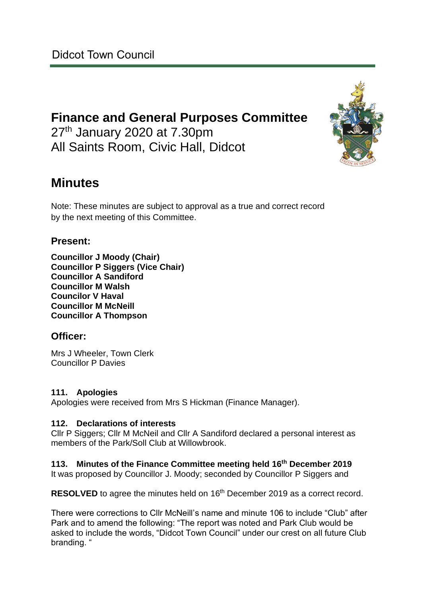# **Finance and General Purposes Committee** 27<sup>th</sup> January 2020 at 7.30pm All Saints Room, Civic Hall, Didcot



Note: These minutes are subject to approval as a true and correct record by the next meeting of this Committee.

# **Present:**

**Councillor J Moody (Chair) Councillor P Siggers (Vice Chair) Councillor A Sandiford Councillor M Walsh Councilor V Haval Councillor M McNeill Councillor A Thompson**

## **Officer:**

Mrs J Wheeler, Town Clerk Councillor P Davies

#### **111. Apologies**

Apologies were received from Mrs S Hickman (Finance Manager).

#### **112. Declarations of interests**

Cllr P Siggers; Cllr M McNeil and Cllr A Sandiford declared a personal interest as members of the Park/Soll Club at Willowbrook.

**113. Minutes of the Finance Committee meeting held 16th December 2019** It was proposed by Councillor J. Moody; seconded by Councillor P Siggers and

**RESOLVED** to agree the minutes held on 16<sup>th</sup> December 2019 as a correct record.

There were corrections to Cllr McNeill's name and minute 106 to include "Club" after Park and to amend the following: "The report was noted and Park Club would be asked to include the words, "Didcot Town Council" under our crest on all future Club branding. "

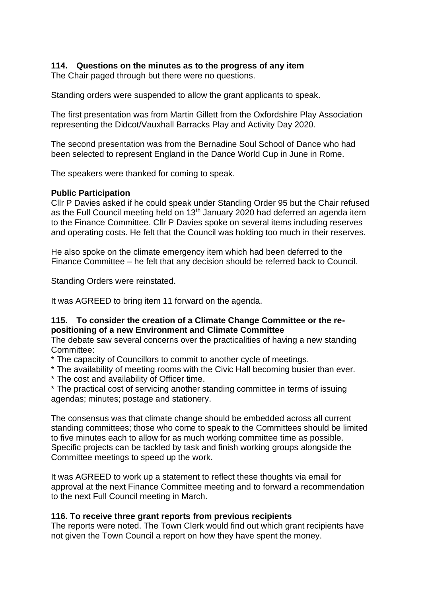### **114. Questions on the minutes as to the progress of any item**

The Chair paged through but there were no questions.

Standing orders were suspended to allow the grant applicants to speak.

The first presentation was from Martin Gillett from the Oxfordshire Play Association representing the Didcot/Vauxhall Barracks Play and Activity Day 2020.

The second presentation was from the Bernadine Soul School of Dance who had been selected to represent England in the Dance World Cup in June in Rome.

The speakers were thanked for coming to speak.

#### **Public Participation**

Cllr P Davies asked if he could speak under Standing Order 95 but the Chair refused as the Full Council meeting held on  $13<sup>th</sup>$  January 2020 had deferred an agenda item to the Finance Committee. Cllr P Davies spoke on several items including reserves and operating costs. He felt that the Council was holding too much in their reserves.

He also spoke on the climate emergency item which had been deferred to the Finance Committee – he felt that any decision should be referred back to Council.

Standing Orders were reinstated.

It was AGREED to bring item 11 forward on the agenda.

#### **115. To consider the creation of a Climate Change Committee or the repositioning of a new Environment and Climate Committee**

The debate saw several concerns over the practicalities of having a new standing Committee:

\* The capacity of Councillors to commit to another cycle of meetings.

- \* The availability of meeting rooms with the Civic Hall becoming busier than ever.
- \* The cost and availability of Officer time.

\* The practical cost of servicing another standing committee in terms of issuing agendas; minutes; postage and stationery.

The consensus was that climate change should be embedded across all current standing committees; those who come to speak to the Committees should be limited to five minutes each to allow for as much working committee time as possible. Specific projects can be tackled by task and finish working groups alongside the Committee meetings to speed up the work.

It was AGREED to work up a statement to reflect these thoughts via email for approval at the next Finance Committee meeting and to forward a recommendation to the next Full Council meeting in March.

#### **116. To receive three grant reports from previous recipients**

The reports were noted. The Town Clerk would find out which grant recipients have not given the Town Council a report on how they have spent the money.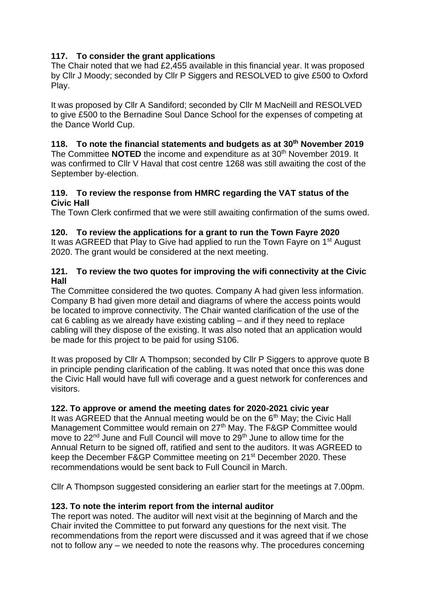## **117. To consider the grant applications**

The Chair noted that we had £2,455 available in this financial year. It was proposed by Cllr J Moody; seconded by Cllr P Siggers and RESOLVED to give £500 to Oxford Play.

It was proposed by Cllr A Sandiford; seconded by Cllr M MacNeill and RESOLVED to give £500 to the Bernadine Soul Dance School for the expenses of competing at the Dance World Cup.

## **118. To note the financial statements and budgets as at 30th November 2019**

The Committee **NOTED** the income and expenditure as at 30<sup>th</sup> November 2019. It was confirmed to Cllr V Haval that cost centre 1268 was still awaiting the cost of the September by-election.

#### **119. To review the response from HMRC regarding the VAT status of the Civic Hall**

The Town Clerk confirmed that we were still awaiting confirmation of the sums owed.

## **120. To review the applications for a grant to run the Town Fayre 2020**

It was AGREED that Play to Give had applied to run the Town Fayre on 1<sup>st</sup> August 2020. The grant would be considered at the next meeting.

#### **121. To review the two quotes for improving the wifi connectivity at the Civic Hall**

The Committee considered the two quotes. Company A had given less information. Company B had given more detail and diagrams of where the access points would be located to improve connectivity. The Chair wanted clarification of the use of the cat 6 cabling as we already have existing cabling – and if they need to replace cabling will they dispose of the existing. It was also noted that an application would be made for this project to be paid for using S106.

It was proposed by Cllr A Thompson; seconded by Cllr P Siggers to approve quote B in principle pending clarification of the cabling. It was noted that once this was done the Civic Hall would have full wifi coverage and a guest network for conferences and visitors.

## **122. To approve or amend the meeting dates for 2020-2021 civic year**

It was AGREED that the Annual meeting would be on the  $6<sup>th</sup>$  May; the Civic Hall Management Committee would remain on 27<sup>th</sup> May. The F&GP Committee would move to 22<sup>nd</sup> June and Full Council will move to 29<sup>th</sup> June to allow time for the Annual Return to be signed off, ratified and sent to the auditors. It was AGREED to keep the December F&GP Committee meeting on 21st December 2020. These recommendations would be sent back to Full Council in March.

Cllr A Thompson suggested considering an earlier start for the meetings at 7.00pm.

## **123. To note the interim report from the internal auditor**

The report was noted. The auditor will next visit at the beginning of March and the Chair invited the Committee to put forward any questions for the next visit. The recommendations from the report were discussed and it was agreed that if we chose not to follow any – we needed to note the reasons why. The procedures concerning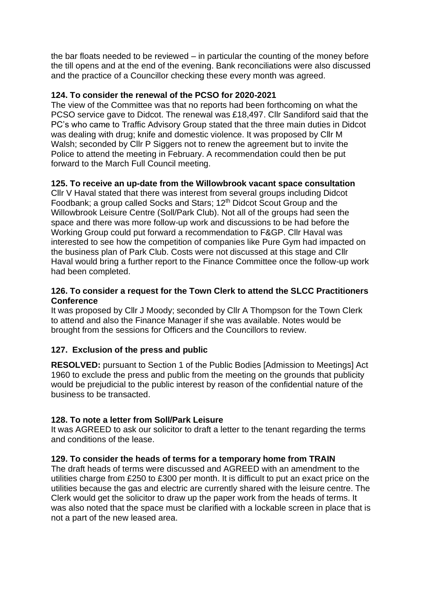the bar floats needed to be reviewed – in particular the counting of the money before the till opens and at the end of the evening. Bank reconciliations were also discussed and the practice of a Councillor checking these every month was agreed.

## **124. To consider the renewal of the PCSO for 2020-2021**

The view of the Committee was that no reports had been forthcoming on what the PCSO service gave to Didcot. The renewal was £18,497. Cllr Sandiford said that the PC's who came to Traffic Advisory Group stated that the three main duties in Didcot was dealing with drug; knife and domestic violence. It was proposed by Cllr M Walsh; seconded by Cllr P Siggers not to renew the agreement but to invite the Police to attend the meeting in February. A recommendation could then be put forward to the March Full Council meeting.

## **125. To receive an up-date from the Willowbrook vacant space consultation**

Cllr V Haval stated that there was interest from several groups including Didcot Foodbank; a group called Socks and Stars; 12<sup>th</sup> Didcot Scout Group and the Willowbrook Leisure Centre (Soll/Park Club). Not all of the groups had seen the space and there was more follow-up work and discussions to be had before the Working Group could put forward a recommendation to F&GP. Cllr Haval was interested to see how the competition of companies like Pure Gym had impacted on the business plan of Park Club. Costs were not discussed at this stage and Cllr Haval would bring a further report to the Finance Committee once the follow-up work had been completed.

#### **126. To consider a request for the Town Clerk to attend the SLCC Practitioners Conference**

It was proposed by Cllr J Moody; seconded by Cllr A Thompson for the Town Clerk to attend and also the Finance Manager if she was available. Notes would be brought from the sessions for Officers and the Councillors to review.

## **127. Exclusion of the press and public**

**RESOLVED:** pursuant to Section 1 of the Public Bodies [Admission to Meetings] Act 1960 to exclude the press and public from the meeting on the grounds that publicity would be prejudicial to the public interest by reason of the confidential nature of the business to be transacted.

## **128. To note a letter from Soll/Park Leisure**

It was AGREED to ask our solicitor to draft a letter to the tenant regarding the terms and conditions of the lease.

#### **129. To consider the heads of terms for a temporary home from TRAIN**

The draft heads of terms were discussed and AGREED with an amendment to the utilities charge from £250 to £300 per month. It is difficult to put an exact price on the utilities because the gas and electric are currently shared with the leisure centre. The Clerk would get the solicitor to draw up the paper work from the heads of terms. It was also noted that the space must be clarified with a lockable screen in place that is not a part of the new leased area.